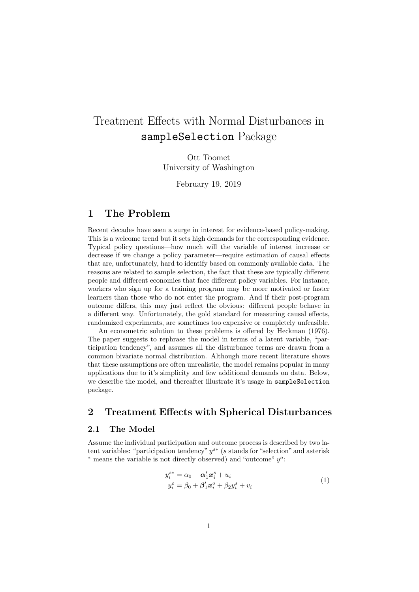# Treatment Effects with Normal Disturbances in sampleSelection Package

Ott Toomet University of Washington

February 19, 2019

### 1 The Problem

Recent decades have seen a surge in interest for evidence-based policy-making. This is a welcome trend but it sets high demands for the corresponding evidence. Typical policy questions—how much will the variable of interest increase or decrease if we change a policy parameter—require estimation of causal effects that are, unfortunately, hard to identify based on commonly available data. The reasons are related to sample selection, the fact that these are typically different people and different economies that face different policy variables. For instance, workers who sign up for a training program may be more motivated or faster learners than those who do not enter the program. And if their post-program outcome differs, this may just reflect the obvious: different people behave in a different way. Unfortunately, the gold standard for measuring causal effects, randomized experiments, are sometimes too expensive or completely unfeasible.

An econometric solution to these problems is offered by [Heckman](#page-8-0) [\(1976\)](#page-8-0). The paper suggests to rephrase the model in terms of a latent variable, "participation tendency", and assumes all the disturbance terms are drawn from a common bivariate normal distribution. Although more recent literature shows that these assumptions are often unrealistic, the model remains popular in many applications due to it's simplicity and few additional demands on data. Below, we describe the model, and thereafter illustrate it's usage in sampleSelection package.

### 2 Treatment Effects with Spherical Disturbances

#### 2.1 The Model

Assume the individual participation and outcome process is described by two latent variables: "participation tendency"  $y^{s*}$  (s stands for "selection" and asterisk \* means the variable is not directly observed) and "outcome"  $y^o$ :

<span id="page-0-0"></span>
$$
y_i^{s*} = \alpha_0 + \alpha'_1 x_i^s + u_i
$$
  
\n
$$
y_i^o = \beta_0 + \beta'_1 x_i^o + \beta_2 y_i^s + v_i
$$
\n(1)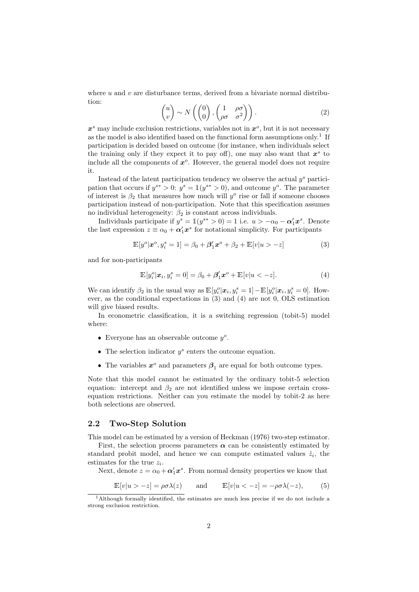<span id="page-1-4"></span>where  $u$  and  $v$  are disturbance terms, derived from a bivariate normal distribution:

$$
\begin{pmatrix} u \\ v \end{pmatrix} \sim N \left( \begin{pmatrix} 0 \\ 0 \end{pmatrix}, \begin{pmatrix} 1 & \rho \sigma \\ \rho \sigma & \sigma^2 \end{pmatrix} \right). \tag{2}
$$

 $x^s$  may include exclusion restrictions, variables not in  $x^o$ , but it is not necessary as the model is also identified based on the functional form assumptions only.<sup>[1](#page-1-0)</sup> If participation is decided based on outcome (for instance, when individuals select the training only if they expect it to pay off), one may also want that  $x^s$  to include all the components of  $x^o$ . However, the general model does not require it.

Instead of the latent participation tendency we observe the actual  $y^s$  participation that occurs if  $y^{s*} > 0$ :  $y^s = \mathbb{1}(y^{s*} > 0)$ , and outcome  $y^o$ . The parameter of interest is  $\beta_2$  that measures how much will  $y^o$  rise or fall if someone chooses participation instead of non-participation. Note that this specification assumes no individual heterogeneity:  $\beta_2$  is constant across individuals.

Individuals participate if  $y^s = \mathbb{1}(y^{s*} > 0) = 1$  i.e.  $u > -\alpha_0 - \alpha'_1 x^s$ . Denote the last expression  $z \equiv \alpha_0 + \alpha'_1 x^s$  for notational simplicity. For participants

$$
\mathbb{E}[y^o|\boldsymbol{x}^o, y_i^s = 1] = \beta_0 + \beta_1' \boldsymbol{x}^o + \beta_2 + \mathbb{E}[v|u > -z] \tag{3}
$$

and for non-participants

<span id="page-1-2"></span><span id="page-1-1"></span>
$$
\mathbb{E}[y_i^o | \mathbf{x}_i, y_i^s = 0] = \beta_0 + \beta_1' \mathbf{x}^o + \mathbb{E}[v | u < -z]. \tag{4}
$$

We can identify  $\beta_2$  in the usual way as  $\mathbb{E}[y_i^o | \mathbf{x}_i, y_i^s = 1] - \mathbb{E}[y_i^o | \mathbf{x}_i, y_i^s = 0]$ . However, as the conditional expectations in [\(3\)](#page-1-1) and [\(4\)](#page-1-2) are not 0, OLS estimation will give biased results.

In econometric classification, it is a switching regression (tobit-5) model where:

- Everyone has an observable outcome  $y^o$ .
- The selection indicator  $y^s$  enters the outcome equation.
- The variables  $x^o$  and parameters  $\beta_1$  are equal for both outcome types.

Note that this model cannot be estimated by the ordinary tobit-5 selection equation: intercept and  $\beta_2$  are not identified unless we impose certain crossequation restrictions. Neither can you estimate the model by tobit-2 as here both selections are observed.

#### 2.2 Two-Step Solution

This model can be estimated by a version of [Heckman](#page-8-0) [\(1976\)](#page-8-0) two-step estimator.

First, the selection process parameters  $\alpha$  can be consistently estimated by standard probit model, and hence we can compute estimated values  $\hat{z}_i$ , the estimates for the true  $z_i$ .

Next, denote  $z = \alpha_0 + \alpha'_1 x^s$ . From normal density properties we know that

<span id="page-1-3"></span>
$$
\mathbb{E}[v|u > -z] = \rho \sigma \lambda(z) \quad \text{and} \quad \mathbb{E}[v|u < -z] = -\rho \sigma \lambda(-z), \quad (5)
$$

<span id="page-1-0"></span><sup>1</sup>Although formally identified, the estimates are much less precise if we do not include a strong exclusion restriction.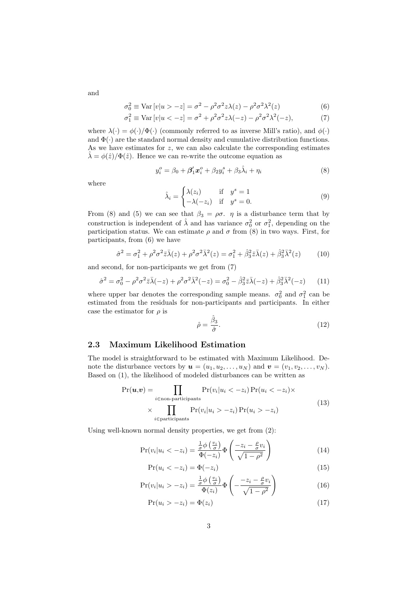and

$$
\sigma_0^2 \equiv \text{Var}\left[v|u\rangle - z\right] = \sigma^2 - \rho^2 \sigma^2 z \lambda(z) - \rho^2 \sigma^2 \lambda^2(z) \tag{6}
$$

$$
\sigma_1^2 \equiv \text{Var}\left[v|u < -z\right] = \sigma^2 + \rho^2 \sigma^2 z \lambda(-z) - \rho^2 \sigma^2 \lambda^2(-z),\tag{7}
$$

where  $\lambda(\cdot) = \phi(\cdot)/\Phi(\cdot)$  (commonly referred to as inverse Mill's ratio), and  $\phi(\cdot)$ and  $\Phi(\cdot)$  are the standard normal density and cumulative distribution functions. As we have estimates for  $z$ , we can also calculate the corresponding estimates  $\lambda = \phi(\hat{z})/\Phi(\hat{z})$ . Hence we can re-write the outcome equation as

<span id="page-2-1"></span>
$$
y_i^o = \beta_0 + \beta_1' x_i^o + \beta_2 y_i^s + \beta_3 \hat{\lambda}_i + \eta_i
$$
 (8)

where

<span id="page-2-2"></span><span id="page-2-0"></span>
$$
\hat{\lambda}_i = \begin{cases}\n\lambda(z_i) & \text{if } y^s = 1 \\
-\lambda(-z_i) & \text{if } y^s = 0.\n\end{cases}
$$
\n(9)

From [\(8\)](#page-2-0) and [\(5\)](#page-1-3) we can see that  $\beta_3 = \rho \sigma$ .  $\eta$  is a disturbance term that by construction is independent of  $\hat{\lambda}$  and has variance  $\sigma_0^2$  or  $\sigma_1^2$ , depending on the participation status. We can estimate  $\rho$  and  $\sigma$  from [\(8\)](#page-2-0) in two ways. First, for participants, from [\(6\)](#page-2-1) we have

$$
\hat{\sigma}^2 = \sigma_1^2 + \rho^2 \sigma^2 \bar{z} \bar{\lambda}(z) + \rho^2 \sigma^2 \bar{\lambda}^2(z) = \sigma_1^2 + \hat{\beta}_3^2 \bar{z} \bar{\lambda}(z) + \hat{\beta}_3^2 \bar{\lambda}^2(z) \tag{10}
$$

and second, for non-participants we get from [\(7\)](#page-2-2)

$$
\hat{\sigma}^2 = \sigma_0^2 - \rho^2 \sigma^2 \bar{z} \bar{\lambda}(-z) + \rho^2 \sigma^2 \bar{\lambda}^2(-z) = \sigma_0^2 - \hat{\beta}_3^2 \bar{z} \bar{\lambda}(-z) + \hat{\beta}_3^2 \bar{\lambda}^2(-z)
$$
(11)

where upper bar denotes the corresponding sample means.  $\sigma_0^2$  and  $\sigma_1^2$  can be estimated from the residuals for non-participants and participants. In either case the estimator for  $\rho$  is

$$
\hat{\rho} = \frac{\hat{\beta}_3}{\hat{\sigma}}.\tag{12}
$$

### 2.3 Maximum Likelihood Estimation

The model is straightforward to be estimated with Maximum Likelihood. Denote the disturbance vectors by  $\mathbf{u} = (u_1, u_2, \dots, u_N)$  and  $\mathbf{v} = (v_1, v_2, \dots, v_N)$ . Based on [\(1\)](#page-0-0), the likelihood of modeled disturbances can be written as

$$
\Pr(\boldsymbol{u}, \boldsymbol{v}) = \prod_{i \in \text{non-participants}} \Pr(v_i | u_i < -z_i) \Pr(u_i < -z_i) \times \prod_{i \in \text{participants}} \Pr(v_i | u_i > -z_i) \Pr(u_i > -z_i) \tag{13}
$$

Using well-known normal density properties, we get from [\(2\)](#page-1-4):

$$
Pr(v_i|u_i < -z_i) = \frac{\frac{1}{\sigma}\phi\left(\frac{v_i}{\sigma}\right)}{\Phi(-z_i)}\Phi\left(\frac{-z_i - \frac{\rho}{\sigma}v_i}{\sqrt{1-\rho^2}}\right)
$$
(14)

$$
Pr(u_i < -z_i) = \Phi(-z_i) \tag{15}
$$

$$
Pr(v_i|u_i > -z_i) = \frac{\frac{1}{\sigma}\phi\left(\frac{v_i}{\sigma}\right)}{\Phi(z_i)}\Phi\left(-\frac{-z_i - \frac{\rho}{\sigma}v_i}{\sqrt{1-\rho^2}}\right)
$$
(16)

$$
Pr(u_i > -z_i) = \Phi(z_i)
$$
\n(17)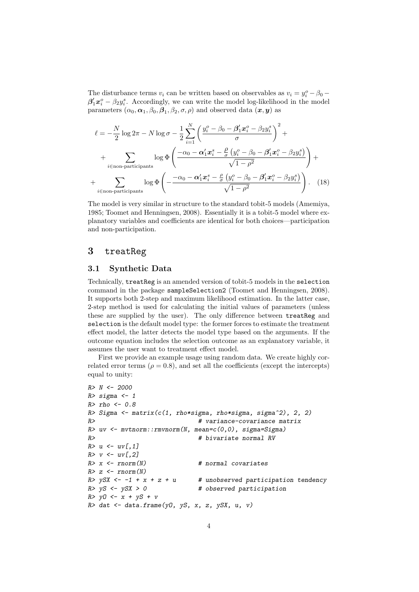The disturbance terms  $v_i$  can be written based on observables as  $v_i = y_i^o - \beta_0$  $\beta'_1 x_i^o - \beta_2 y_i^s$ . Accordingly, we can write the model log-likelihood in the model parameters  $(\alpha_0, \alpha_1, \beta_0, \beta_1, \beta_2, \sigma, \rho)$  and observed data  $(x, y)$  as

$$
\ell = -\frac{N}{2}\log 2\pi - N\log \sigma - \frac{1}{2}\sum_{i=1}^{N}\left(\frac{y_i^o - \beta_0 - \beta_1'x_i^o - \beta_2y_i^s}{\sigma}\right)^2 + \frac{1}{2}\sum_{i \in \text{non-participants}} \log \Phi\left(\frac{-\alpha_0 - \alpha_1'x_i^s - \frac{\rho}{\sigma}\left(y_i^o - \beta_0 - \beta_1'x_i^o - \beta_2y_i^s\right)}{\sqrt{1-\rho^2}}\right) + \frac{1}{2}\sum_{i \in \text{non-participants}} \log \Phi\left(-\frac{-\alpha_0 - \alpha_1'x_i^s - \frac{\rho}{\sigma}\left(y_i^o - \beta_0 - \beta_1'x_i^o - \beta_2y_i^s\right)}{\sqrt{1-\rho^2}}\right). \quad (18)
$$

The model is very similar in structure to the standard tobit-5 models [\(Amemiya,](#page-8-1) [1985;](#page-8-1) [Toomet and Henningsen,](#page-8-2) [2008\)](#page-8-2). Essentially it is a tobit-5 model where explanatory variables and coefficients are identical for both choices—participation and non-participation.

### 3 treatReg

#### 3.1 Synthetic Data

Technically, treatReg is an amended version of tobit-5 models in the selection command in the package sampleSelection2 [\(Toomet and Henningsen,](#page-8-2) [2008\)](#page-8-2). It supports both 2-step and maximum likelihood estimation. In the latter case, 2-step method is used for calculating the initial values of parameters (unless these are supplied by the user). The only difference between treatReg and selection is the default model type: the former forces to estimate the treatment effect model, the latter detects the model type based on the arguments. If the outcome equation includes the selection outcome as an explanatory variable, it assumes the user want to treatment effect model.

First we provide an example usage using random data. We create highly correlated error terms ( $\rho = 0.8$ ), and set all the coefficients (except the intercepts) equal to unity:

```
R > N < -2000R> sigma <- 1
R> rho <- 0.8
R> Sigma <- matrix(c(1, rho*sigma, rho*sigma, sigma^2), 2, 2)
R> # variance-covariance matrix
R> uv <- mvtnorm::rmvnorm(N, mean=c(0,0), sigma=Sigma)
R> \qquad \qquad \qquad \qquad \qquad \qquad \qquad \qquad \qquad \qquad \qquad \qquad \qquad \qquad \qquad \qquad \qquad \qquad \qquad \qquad \qquad \qquad \qquad \qquad \qquad \qquad \qquad \qquad \qquad \qquad \qquad \qquad \qquad \qquad \qquad \qquad \qR > u < -uv[,1]R > v \leftarrow uv[, 2]R > x \leftarrow rnorm(N) # normal covariates
R > z \leftarrow \text{norm}(N)<br>R > ySX \leftarrow -1 + x + z + u# unobserved participation tendency
R > yS \le -ySX > 0 # observed participation
R > y0 \leftarrow x + yS + vR > dat \leq data.frame(y0, yS, x, z, ySX, u, v)
```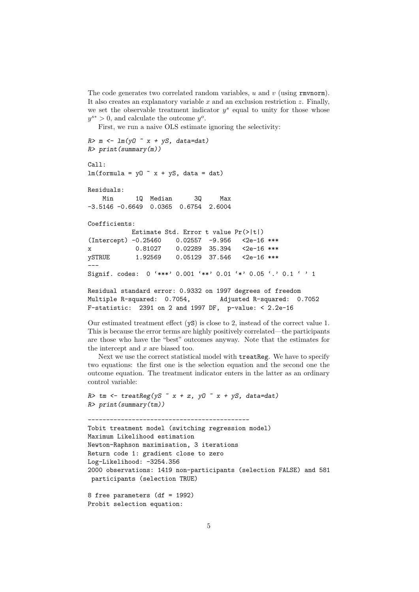The code generates two correlated random variables,  $u$  and  $v$  (using rmvnorm). It also creates an explanatory variable  $x$  and an exclusion restriction  $z$ . Finally, we set the observable treatment indicator  $y^s$  equal to unity for those whose  $y^{s*} > 0$ , and calculate the outcome  $y^o$ .

First, we run a naive OLS estimate ignoring the selectivity:

```
R > m \leftarrow \text{lm}(y0 \text{ m x + yS, data=dat})R> print(summary(m))
Ca11:lm(formula = y0 x + yS, data = dat)Residuals:
   Min 1Q Median 3Q Max
-3.5146 -0.6649 0.0365 0.6754 2.6004
Coefficients:
           Estimate Std. Error t value Pr(>|t|)
(Intercept) -0.25460 0.02557 -9.956 <2e-16 ***
x 0.81027 0.02289 35.394 <2e-16 ***
ySTRUE 1.92569  0.05129  37.546  <2e-16  ***
---
Signif. codes: 0 '***' 0.001 '**' 0.01 '*' 0.05 '.' 0.1 ' ' 1
Residual standard error: 0.9332 on 1997 degrees of freedom
Multiple R-squared: 0.7054, Adjusted R-squared: 0.7052
F-statistic: 2391 on 2 and 1997 DF, p-value: < 2.2e-16
```
Our estimated treatment effect (yS) is close to 2, instead of the correct value 1. This is because the error terms are highly positively correlated—the participants are those who have the "best" outcomes anyway. Note that the estimates for the intercept and  $x$  are biased too.

Next we use the correct statistical model with treatReg. We have to specify two equations: the first one is the selection equation and the second one the outcome equation. The treatment indicator enters in the latter as an ordinary control variable:

```
R tm <- treatReg(yS x + z, yO x + yS, data=dat)
R> print(summary(tm))
```

```
--------------------------------------------
Tobit treatment model (switching regression model)
Maximum Likelihood estimation
Newton-Raphson maximisation, 3 iterations
Return code 1: gradient close to zero
Log-Likelihood: -3254.356
2000 observations: 1419 non-participants (selection FALSE) and 581
participants (selection TRUE)
```

```
8 free parameters (df = 1992)
Probit selection equation:
```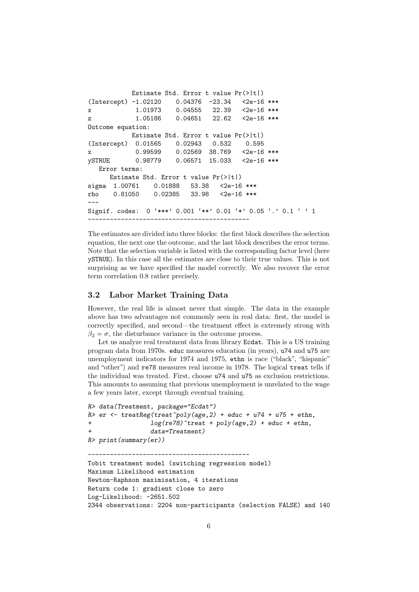```
Estimate Std. Error t value Pr(>|t|)
(Intercept) -1.02120 0.04376 -23.34 <2e-16 ***
x 1.01973 0.04555 22.39 <2e-16 ***
z 1.05186 0.04651 22.62 <2e-16 ***
Outcome equation:
          Estimate Std. Error t value Pr(>|t|)
(Intercept) 0.01565 0.02943 0.532 0.595
x 0.99599 0.02569 38.769 <2e-16 ***
ySTRUE 0.98779 0.06571 15.033 <2e-16 ***
  Error terms:
     Estimate Std. Error t value Pr(>|t|)
sigma 1.00761 0.01888 53.38 <2e-16 ***
rho 0.81050 0.02385 33.98 <2e-16 ***
---
Signif. codes: 0 '***' 0.001 '**' 0.01 '*' 0.05 '.' 0.1 ' ' 1
--------------------------------------------
```
The estimates are divided into three blocks: the first block describes the selection equation, the next one the outcome, and the last block describes the error terms. Note that the selection variable is listed with the corresponding factor level (here ySTRUE). In this case all the estimates are close to their true values. This is not surprising as we have specified the model correctly. We also recover the error term correlation 0.8 rather precisely.

#### 3.2 Labor Market Training Data

However, the real life is almost never that simple. The data in the example above has two advantages not commonly seen in real data: first, the model is correctly specified, and second—the treatment effect is extremely strong with  $\beta_2 = \sigma$ , the disturbance variance in the outcome process.

Let us analyze real treatment data from library Ecdat. This is a US training program data from 1970s. educ measures education (in years), u74 and u75 are unemployment indicators for 1974 and 1975, ethn is race ("black", "hispanic" and "other") and re78 measures real income in 1978. The logical treat tells if the individual was treated. First, choose u74 and u75 as exclusion restrictions. This amounts to assuming that previous unemployment is unrelated to the wage a few years later, except through eventual training.

```
R> data(Treatment, package="Ecdat")
R > er <- treatReg(treat~poly(age, 2) + educ + u74 + u75 + ethn,
+ log(re78)~treat + poly(age,2) + educ + ethn,
+ data=Treatment)
R> print(summary(er))
```
--------------------------------------------

```
Tobit treatment model (switching regression model)
Maximum Likelihood estimation
Newton-Raphson maximisation, 4 iterations
Return code 1: gradient close to zero
Log-Likelihood: -2651.502
2344 observations: 2204 non-participants (selection FALSE) and 140
```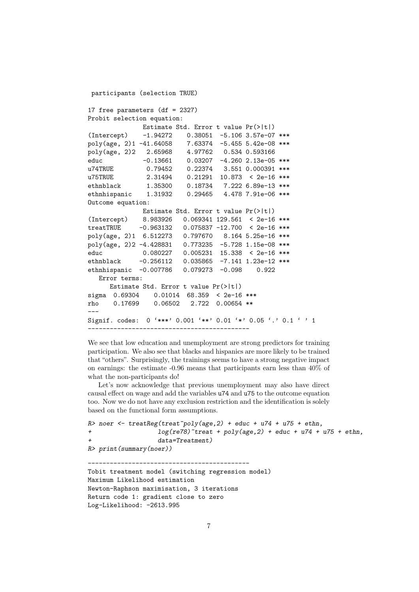```
participants (selection TRUE)
17 free parameters (df = 2327)
Probit selection equation:
              Estimate Std. Error t value Pr(>|t|)
(Intercept) -1.94272 0.38051 -5.106 3.57e-07 ***
poly(age, 2)1 -41.64058 7.63374 -5.455 5.42e-08 ***
poly(age, 2)2 2.65968 4.97762 0.534 0.593166
educ -0.13661 0.03207 -4.260 2.13e-05 ***
u74TRUE 0.79452 0.22374 3.551 0.000391 ***
u75TRUE 2.31494 0.21291 10.873 < 2e-16 ***<br>ethnblack 1.35300 0.18734 7.222 6.89e-13 ***
ethnblack 1.35300 0.18734 7.222 6.89e-13 ***<br>ethnhispanic 1.31932 0.29465 4.478 7.91e-06 ***
ethnhispanic 1.31932 0.29465 4.478 7.91e-06 ***
Outcome equation:
              Estimate Std. Error t value Pr(>|t|)
(Intercept) 8.983926 0.069341 129.561 < 2e-16 ***
treatTRUE -0.963132 0.075837 -12.700 < 2e-16 ***
poly(age, 2)1 6.512273 0.797670 8.164 5.25e-16 ***
poly(age, 2)2 -4.428831 0.773235 -5.728 1.15e-08 ***
educ 0.080227 0.005231 15.338 < 2e-16 ***
ethnblack -0.256112 0.035865 -7.141 1.23e-12 ***
ethnhispanic -0.007786 0.079273 -0.098 0.922
   Error terms:
     Estimate Std. Error t value Pr(>|t|)
sigma 0.69304 0.01014 68.359 < 2e-16 ***
rho 0.17699 0.06502 2.722 0.00654 **
---
Signif. codes: 0 '***' 0.001 '**' 0.01 '*' 0.05 '.' 0.1 ' ' 1
--------------------------------------------
```
We see that low education and unemployment are strong predictors for training participation. We also see that blacks and hispanics are more likely to be trained that "others". Surprisingly, the trainings seems to have a strong negative impact on earnings: the estimate -0.96 means that participants earn less than 40% of what the non-participants do!

Let's now acknowledge that previous unemployment may also have direct causal effect on wage and add the variables u74 and u75 to the outcome equation too. Now we do not have any exclusion restriction and the identification is solely based on the functional form assumptions.

```
R> noer <- treatReg(treat~poly(age, 2) + educ + u74 + u75 + ethn,
+ log(re78)~treat + poly(age,2) + educ + u74 + u75 + ethn,
                 data = Treatment)R> print(summary(noer))
```

```
--------------------------------------------
Tobit treatment model (switching regression model)
Maximum Likelihood estimation
Newton-Raphson maximisation, 3 iterations
Return code 1: gradient close to zero
Log-Likelihood: -2613.995
```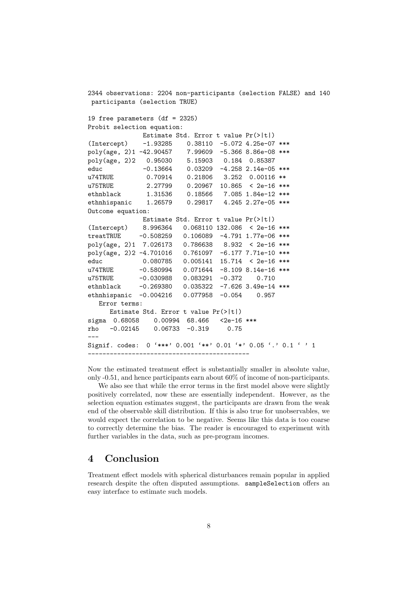2344 observations: 2204 non-participants (selection FALSE) and 140 participants (selection TRUE) 19 free parameters (df = 2325) Probit selection equation: Estimate Std. Error t value Pr(>|t|) (Intercept) -1.93285 0.38110 -5.072 4.25e-07 \*\*\* poly(age, 2)1 -42.90457 7.99609 -5.366 8.86e-08 \*\*\* poly(age, 2)2 0.95030 5.15903 0.184 0.85387 educ -0.13664 0.03209 -4.258 2.14e-05 \*\*\* u74TRUE 0.70914 0.21806 3.252 0.00116 \*\* u75TRUE 2.27799 0.20967 10.865 < 2e-16 \*\*\* ethnblack 1.31536 0.18566 7.085 1.84e-12 \*\*\*<br>ethnhispanic 1.26579 0.29817 4.245 2.27e-05 \*\*\* ethnhispanic 1.26579 0.29817 4.245 2.27e-05 \*\*\* Outcome equation: Estimate Std. Error t value Pr(>|t|) (Intercept) 8.996364 0.068110 132.086 < 2e-16 \*\*\* treatTRUE -0.508259 0.106089 -4.791 1.77e-06 \*\*\* poly(age, 2)1 7.026173 0.786638 8.932 < 2e-16 \*\*\* poly(age, 2)2 -4.701016 0.761097 -6.177 7.71e-10 \*\*\* educ 0.080785 0.005141 15.714 < 2e-16 \*\*\* u74TRUE -0.580994 0.071644 -8.109 8.14e-16 \*\*\* u75TRUE  $-0.030988$  0.083291  $-0.372$  0.710 ethnblack -0.269380 0.035322 -7.626 3.49e-14 \*\*\* ethnhispanic -0.004216 0.077958 -0.054 0.957 Error terms: Estimate Std. Error t value Pr(>|t|) sigma 0.68058 0.00994 68.466 <2e-16 \*\*\* rho -0.02145 0.06733 -0.319 0.75 --- Signif. codes: 0 '\*\*\*' 0.001 '\*\*' 0.01 '\*' 0.05 '.' 0.1 ' ' 1 --------------------------------------------

Now the estimated treatment effect is substantially smaller in absolute value, only -0.51, and hence participants earn about 60% of income of non-participants.

We also see that while the error terms in the first model above were slightly positively correlated, now these are essentially independent. However, as the selection equation estimates suggest, the participants are drawn from the weak end of the observable skill distribution. If this is also true for unobservables, we would expect the correlation to be negative. Seems like this data is too coarse to correctly determine the bias. The reader is encouraged to experiment with further variables in the data, such as pre-program incomes.

### 4 Conclusion

Treatment effect models with spherical disturbances remain popular in applied research despite the often disputed assumptions. sampleSelection offers an easy interface to estimate such models.